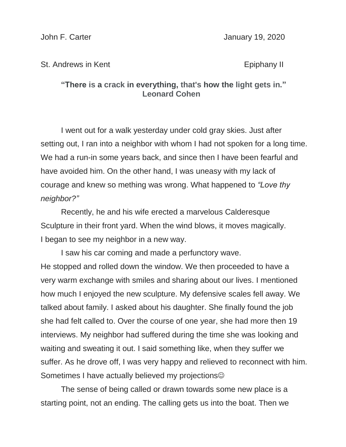John F. Carter **January 19, 2020** 

## St. Andrews in Kent **Example 20** St. Andrews in Kent

## **"There is a crack in everything, that's how the light gets in." Leonard Cohen**

I went out for a walk yesterday under cold gray skies. Just after setting out, I ran into a neighbor with whom I had not spoken for a long time. We had a run-in some years back, and since then I have been fearful and have avoided him. On the other hand, I was uneasy with my lack of courage and knew so mething was wrong. What happened to *"Love thy neighbor?"*

Recently, he and his wife erected a marvelous Calderesque Sculpture in their front yard. When the wind blows, it moves magically. I began to see my neighbor in a new way.

I saw his car coming and made a perfunctory wave. He stopped and rolled down the window. We then proceeded to have a very warm exchange with smiles and sharing about our lives. I mentioned how much I enjoyed the new sculpture. My defensive scales fell away. We talked about family. I asked about his daughter. She finally found the job she had felt called to. Over the course of one year, she had more then 19 interviews. My neighbor had suffered during the time she was looking and waiting and sweating it out. I said something like, when they suffer we suffer. As he drove off, I was very happy and relieved to reconnect with him. Sometimes I have actually believed my projections<sup>©</sup>

The sense of being called or drawn towards some new place is a starting point, not an ending. The calling gets us into the boat. Then we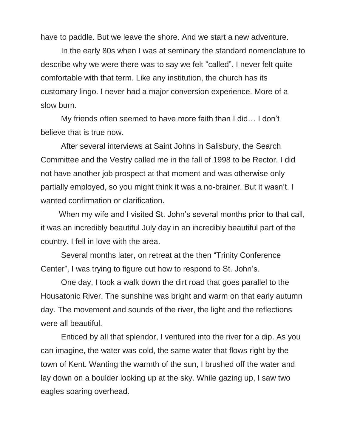have to paddle. But we leave the shore. And we start a new adventure.

In the early 80s when I was at seminary the standard nomenclature to describe why we were there was to say we felt "called". I never felt quite comfortable with that term. Like any institution, the church has its customary lingo. I never had a major conversion experience. More of a slow burn.

My friends often seemed to have more faith than I did… I don't believe that is true now.

After several interviews at Saint Johns in Salisbury, the Search Committee and the Vestry called me in the fall of 1998 to be Rector. I did not have another job prospect at that moment and was otherwise only partially employed, so you might think it was a no-brainer. But it wasn't. I wanted confirmation or clarification.

When my wife and I visited St. John's several months prior to that call, it was an incredibly beautiful July day in an incredibly beautiful part of the country. I fell in love with the area.

Several months later, on retreat at the then "Trinity Conference Center", I was trying to figure out how to respond to St. John's.

One day, I took a walk down the dirt road that goes parallel to the Housatonic River. The sunshine was bright and warm on that early autumn day. The movement and sounds of the river, the light and the reflections were all beautiful.

Enticed by all that splendor, I ventured into the river for a dip. As you can imagine, the water was cold, the same water that flows right by the town of Kent. Wanting the warmth of the sun, I brushed off the water and lay down on a boulder looking up at the sky. While gazing up, I saw two eagles soaring overhead.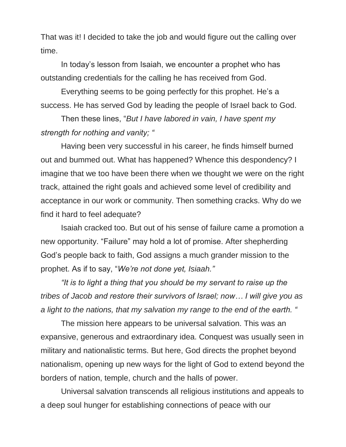That was it! I decided to take the job and would figure out the calling over time.

In today's lesson from Isaiah, we encounter a prophet who has outstanding credentials for the calling he has received from God.

Everything seems to be going perfectly for this prophet. He's a success. He has served God by leading the people of Israel back to God.

Then these lines, "*But I have labored in vain, I have spent my strength for nothing and vanity; "*

Having been very successful in his career, he finds himself burned out and bummed out. What has happened? Whence this despondency? I imagine that we too have been there when we thought we were on the right track, attained the right goals and achieved some level of credibility and acceptance in our work or community. Then something cracks. Why do we find it hard to feel adequate?

Isaiah cracked too. But out of his sense of failure came a promotion a new opportunity. "Failure" may hold a lot of promise. After shepherding God's people back to faith, God assigns a much grander mission to the prophet. As if to say, "*We're not done yet, Isiaah."*

*"It is to light a thing that you should be my servant to raise up the tribes of Jacob and restore their survivors of Israel; now… I will give you as a light to the nations, that my salvation my range to the end of the earth. "*

The mission here appears to be universal salvation. This was an expansive, generous and extraordinary idea. Conquest was usually seen in military and nationalistic terms. But here, God directs the prophet beyond nationalism, opening up new ways for the light of God to extend beyond the borders of nation, temple, church and the halls of power.

Universal salvation transcends all religious institutions and appeals to a deep soul hunger for establishing connections of peace with our